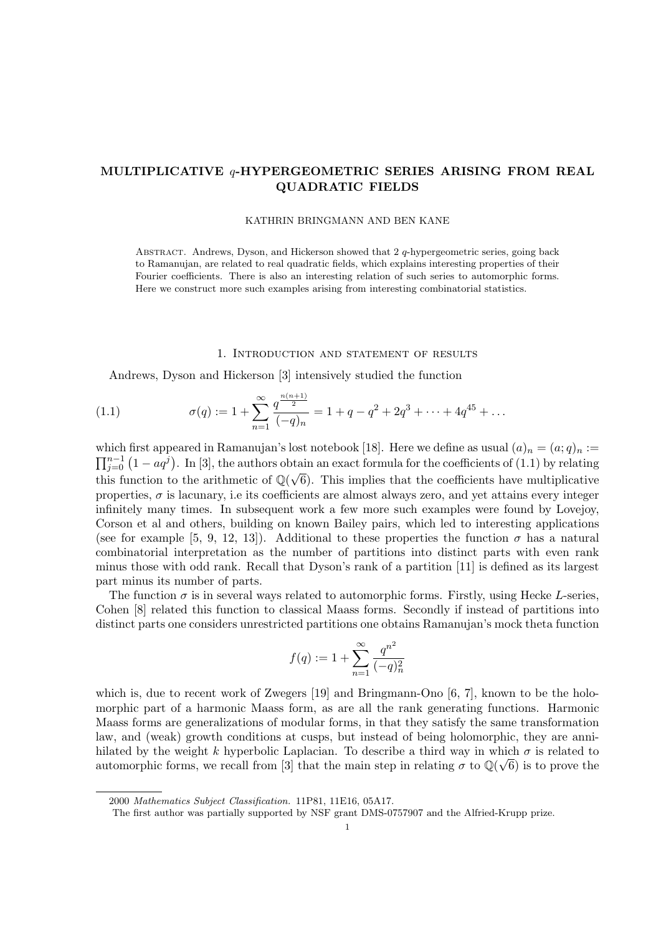# MULTIPLICATIVE q-HYPERGEOMETRIC SERIES ARISING FROM REAL QUADRATIC FIELDS

#### KATHRIN BRINGMANN AND BEN KANE

ABSTRACT. Andrews, Dyson, and Hickerson showed that  $2q$ -hypergeometric series, going back to Ramanujan, are related to real quadratic fields, which explains interesting properties of their Fourier coefficients. There is also an interesting relation of such series to automorphic forms. Here we construct more such examples arising from interesting combinatorial statistics.

#### 1. Introduction and statement of results

Andrews, Dyson and Hickerson [3] intensively studied the function

(1.1) 
$$
\sigma(q) := 1 + \sum_{n=1}^{\infty} \frac{q^{\frac{n(n+1)}{2}}}{(-q)_n} = 1 + q - q^2 + 2q^3 + \dots + 4q^{45} + \dots
$$

which first appeared in Ramanujan's lost notebook [18]. Here we define as usual  $(a)_n = (a;q)_n :=$  $\prod_{j=0}^{n-1} (1 - aq^j)$ . In [3], the authors obtain an exact formula for the coefficients of (1.1) by relating this function to the arithmetic of  $\mathbb{Q}(\sqrt{6})$ . This implies that the coefficients have multiplicative properties,  $\sigma$  is lacunary, i.e its coefficients are almost always zero, and yet attains every integer infinitely many times. In subsequent work a few more such examples were found by Lovejoy, Corson et al and others, building on known Bailey pairs, which led to interesting applications (see for example [5, 9, 12, 13]). Additional to these properties the function  $\sigma$  has a natural combinatorial interpretation as the number of partitions into distinct parts with even rank minus those with odd rank. Recall that Dyson's rank of a partition [11] is defined as its largest part minus its number of parts.

The function  $\sigma$  is in several ways related to automorphic forms. Firstly, using Hecke L-series, Cohen [8] related this function to classical Maass forms. Secondly if instead of partitions into distinct parts one considers unrestricted partitions one obtains Ramanujan's mock theta function

$$
f(q):=1+\sum_{n=1}^{\infty}\frac{q^{n^2}}{(-q)_n^2}
$$

which is, due to recent work of Zwegers [19] and Bringmann-Ono [6, 7], known to be the holomorphic part of a harmonic Maass form, as are all the rank generating functions. Harmonic Maass forms are generalizations of modular forms, in that they satisfy the same transformation law, and (weak) growth conditions at cusps, but instead of being holomorphic, they are annihilated by the weight k hyperbolic Laplacian. To describe a third way in which  $\sigma$  is related to automorphic forms, we recall from [3] that the main step in relating  $\sigma$  to  $\mathbb{Q}(\sqrt{6})$  is to prove the

<sup>2000</sup> Mathematics Subject Classification. 11P81, 11E16, 05A17.

The first author was partially supported by NSF grant DMS-0757907 and the Alfried-Krupp prize.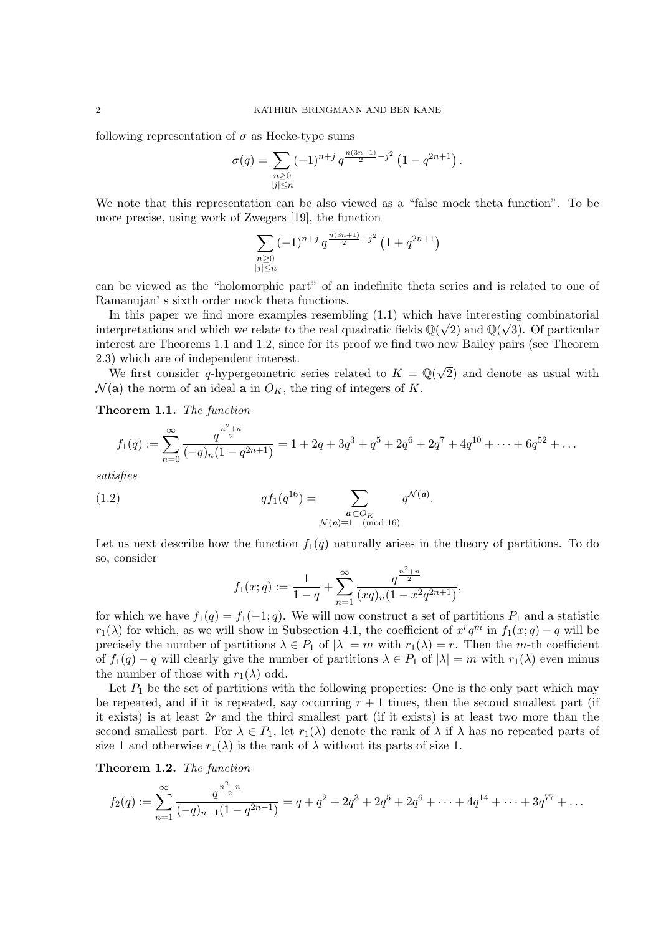following representation of  $\sigma$  as Hecke-type sums

$$
\sigma(q) = \sum_{\substack{n \geq 0 \\ |j| \leq n}} (-1)^{n+j} q^{\frac{n(3n+1)}{2} - j^2} \left(1 - q^{2n+1}\right).
$$

We note that this representation can be also viewed as a "false mock theta function". To be more precise, using work of Zwegers [19], the function

$$
\sum_{\substack{n \geq 0 \\ |j| \leq n}} (-1)^{n+j} q^{\frac{n(3n+1)}{2} - j^2} \left( 1 + q^{2n+1} \right)
$$

can be viewed as the "holomorphic part" of an indefinite theta series and is related to one of Ramanujan' s sixth order mock theta functions.

In this paper we find more examples resembling  $(1.1)$  which have interesting combinatorial interpretations and which we relate to the real quadratic fields  $\mathbb{Q}(\sqrt{2})$  and  $\mathbb{Q}(\sqrt{3})$ . Of particular interest are Theorems 1.1 and 1.2, since for its proof we find two new Bailey pairs (see Theorem 2.3) which are of independent interest.

b) which are of independent interest.<br>We first consider q-hypergeometric series related to  $K = \mathbb{Q}(\sqrt{2\pi})$ 2) and denote as usual with  $\mathcal{N}(\mathbf{a})$  the norm of an ideal **a** in  $O_K$ , the ring of integers of K.

Theorem 1.1. The function

$$
f_1(q) := \sum_{n=0}^{\infty} \frac{q^{\frac{n^2+n}{2}}}{(-q)_n(1-q^{2n+1})} = 1 + 2q + 3q^3 + q^5 + 2q^6 + 2q^7 + 4q^{10} + \dots + 6q^{52} + \dots
$$

satisfies

(1.2) 
$$
q f_1(q^{16}) = \sum_{\substack{\mathbf{a} \subset O_K \\ \mathcal{N}(\mathbf{a}) \equiv 1 \pmod{16}}} q^{\mathcal{N}(\mathbf{a})}
$$

Let us next describe how the function  $f_1(q)$  naturally arises in the theory of partitions. To do so, consider

.

$$
f_1(x; q) := \frac{1}{1-q} + \sum_{n=1}^{\infty} \frac{q^{\frac{n^2+n}{2}}}{(xq)_n(1-x^2q^{2n+1})},
$$

for which we have  $f_1(q) = f_1(-1; q)$ . We will now construct a set of partitions  $P_1$  and a statistic  $r_1(\lambda)$  for which, as we will show in Subsection 4.1, the coefficient of  $x^r q^m$  in  $f_1(x; q) - q$  will be precisely the number of partitions  $\lambda \in P_1$  of  $|\lambda| = m$  with  $r_1(\lambda) = r$ . Then the m-th coefficient of  $f_1(q) - q$  will clearly give the number of partitions  $\lambda \in P_1$  of  $|\lambda| = m$  with  $r_1(\lambda)$  even minus the number of those with  $r_1(\lambda)$  odd.

Let  $P_1$  be the set of partitions with the following properties: One is the only part which may be repeated, and if it is repeated, say occurring  $r + 1$  times, then the second smallest part (if it exists) is at least  $2r$  and the third smallest part (if it exists) is at least two more than the second smallest part. For  $\lambda \in P_1$ , let  $r_1(\lambda)$  denote the rank of  $\lambda$  if  $\lambda$  has no repeated parts of size 1 and otherwise  $r_1(\lambda)$  is the rank of  $\lambda$  without its parts of size 1.

Theorem 1.2. The function

$$
f_2(q) := \sum_{n=1}^{\infty} \frac{q^{\frac{n^2+n}{2}}}{(-q)_{n-1}(1-q^{2n-1})} = q + q^2 + 2q^3 + 2q^5 + 2q^6 + \dots + 4q^{14} + \dots + 3q^{77} + \dots
$$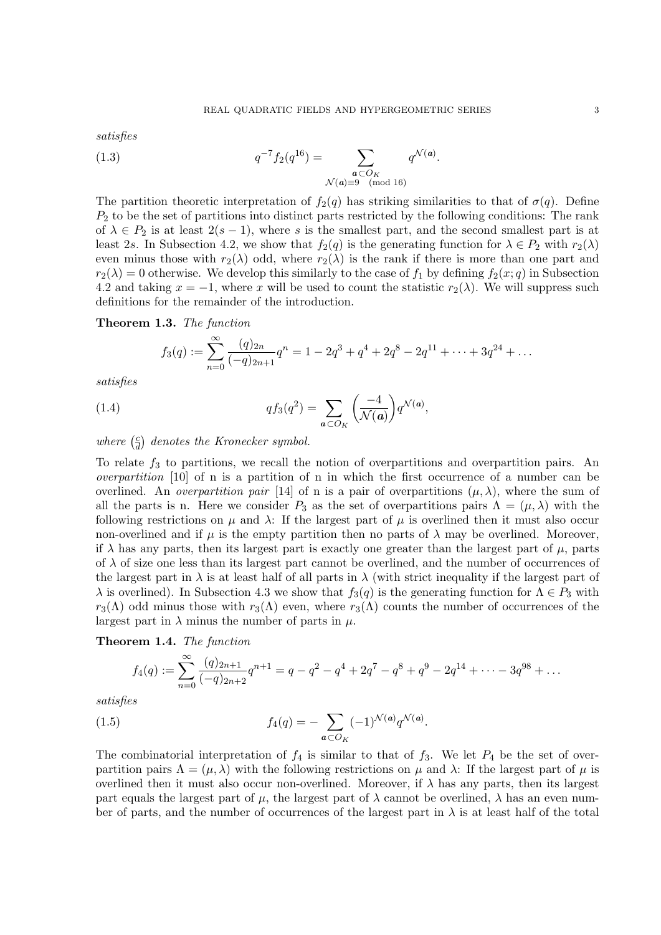satisfies

(1.3) 
$$
q^{-7} f_2(q^{16}) = \sum_{\substack{a \subset O_K \\ \mathcal{N}(a) \equiv 9 \pmod{16}}} q^{\mathcal{N}(a)}.
$$

The partition theoretic interpretation of  $f_2(q)$  has striking similarities to that of  $\sigma(q)$ . Define  $P<sub>2</sub>$  to be the set of partitions into distinct parts restricted by the following conditions: The rank of  $\lambda \in P_2$  is at least  $2(s-1)$ , where s is the smallest part, and the second smallest part is at least 2s. In Subsection 4.2, we show that  $f_2(q)$  is the generating function for  $\lambda \in P_2$  with  $r_2(\lambda)$ even minus those with  $r_2(\lambda)$  odd, where  $r_2(\lambda)$  is the rank if there is more than one part and  $r_2(\lambda) = 0$  otherwise. We develop this similarly to the case of  $f_1$  by defining  $f_2(x; q)$  in Subsection 4.2 and taking  $x = -1$ , where x will be used to count the statistic  $r_2(\lambda)$ . We will suppress such definitions for the remainder of the introduction.

# Theorem 1.3. The function

$$
f_3(q) := \sum_{n=0}^{\infty} \frac{(q)_{2n}}{(-q)_{2n+1}} q^n = 1 - 2q^3 + q^4 + 2q^8 - 2q^{11} + \dots + 3q^{24} + \dots
$$

satisfies

(1.4) 
$$
q f_3(q^2) = \sum_{\mathbf{a} \subset O_K} \left( \frac{-4}{\mathcal{N}(\mathbf{a})} \right) q^{\mathcal{N}(\mathbf{a})},
$$

where  $\left(\frac{c}{d}\right)$  $\frac{c}{d}$ ) denotes the Kronecker symbol.

To relate  $f_3$  to partitions, we recall the notion of overpartitions and overpartition pairs. An overpartition [10] of n is a partition of n in which the first occurrence of a number can be overlined. An *overpartition pair* [14] of n is a pair of overpartitions  $(\mu, \lambda)$ , where the sum of all the parts is n. Here we consider  $P_3$  as the set of overpartitions pairs  $\Lambda = (\mu, \lambda)$  with the following restrictions on  $\mu$  and  $\lambda$ : If the largest part of  $\mu$  is overlined then it must also occur non-overlined and if  $\mu$  is the empty partition then no parts of  $\lambda$  may be overlined. Moreover, if  $\lambda$  has any parts, then its largest part is exactly one greater than the largest part of  $\mu$ , parts of  $\lambda$  of size one less than its largest part cannot be overlined, and the number of occurrences of the largest part in  $\lambda$  is at least half of all parts in  $\lambda$  (with strict inequality if the largest part of  $\lambda$  is overlined). In Subsection 4.3 we show that  $f_3(q)$  is the generating function for  $\Lambda \in P_3$  with  $r_3(\Lambda)$  odd minus those with  $r_3(\Lambda)$  even, where  $r_3(\Lambda)$  counts the number of occurrences of the largest part in  $\lambda$  minus the number of parts in  $\mu$ .

# Theorem 1.4. The function

$$
f_4(q) := \sum_{n=0}^{\infty} \frac{(q)_{2n+1}}{(-q)_{2n+2}} q^{n+1} = q - q^2 - q^4 + 2q^7 - q^8 + q^9 - 2q^{14} + \dots - 3q^{98} + \dots
$$

satisfies

(1.5) 
$$
f_4(q) = -\sum_{a \subset O_K} (-1)^{\mathcal{N}(a)} q^{\mathcal{N}(a)}.
$$

The combinatorial interpretation of  $f_4$  is similar to that of  $f_3$ . We let  $P_4$  be the set of overpartition pairs  $\Lambda = (\mu, \lambda)$  with the following restrictions on  $\mu$  and  $\lambda$ : If the largest part of  $\mu$  is overlined then it must also occur non-overlined. Moreover, if  $\lambda$  has any parts, then its largest part equals the largest part of  $\mu$ , the largest part of  $\lambda$  cannot be overlined,  $\lambda$  has an even number of parts, and the number of occurrences of the largest part in  $\lambda$  is at least half of the total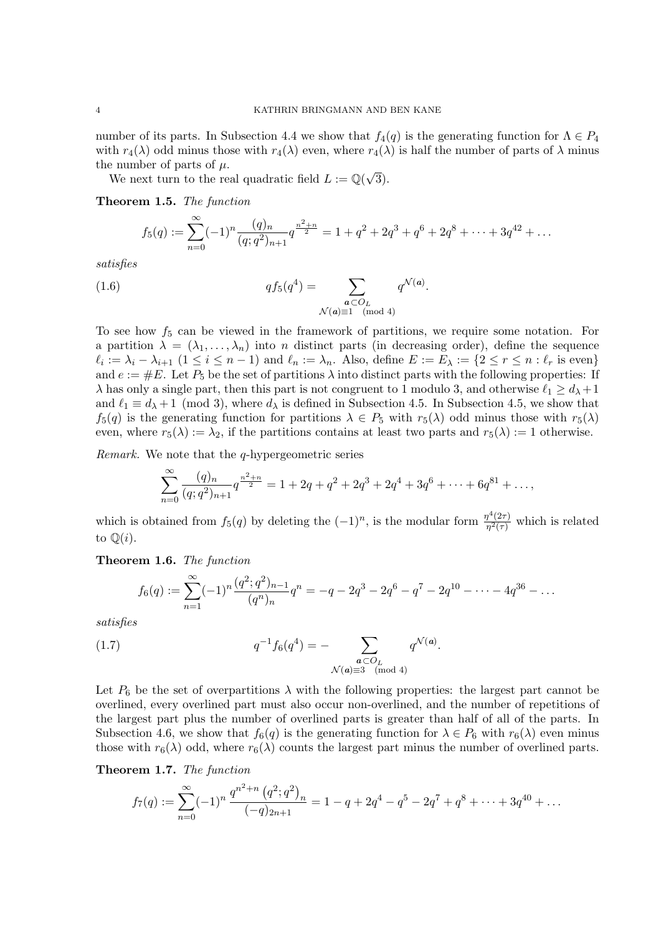number of its parts. In Subsection 4.4 we show that  $f_4(q)$  is the generating function for  $\Lambda \in P_4$ with  $r_4(\lambda)$  odd minus those with  $r_4(\lambda)$  even, where  $r_4(\lambda)$  is half the number of parts of  $\lambda$  minus the number of parts of  $\mu$ .

e number of parts of  $\mu$ .<br>We next turn to the real quadratic field  $L := \mathbb{Q}(\sqrt{\sqrt{2\pi}})$ 3).

Theorem 1.5. The function

$$
f_5(q) := \sum_{n=0}^{\infty} (-1)^n \frac{(q)_n}{(q;q^2)_{n+1}} q^{\frac{n^2+n}{2}} = 1 + q^2 + 2q^3 + q^6 + 2q^8 + \dots + 3q^{42} + \dots
$$

satisfies

(1.6) 
$$
q f_5(q^4) = \sum_{\substack{a \subset O_L \\ \mathcal{N}(a) \equiv 1 \pmod{4}}} q^{\mathcal{N}(a)}.
$$

To see how  $f_5$  can be viewed in the framework of partitions, we require some notation. For a partition  $\lambda = (\lambda_1, \ldots, \lambda_n)$  into *n* distinct parts (in decreasing order), define the sequence  $\ell_i := \lambda_i - \lambda_{i+1}$   $(1 \leq i \leq n-1)$  and  $\ell_n := \lambda_n$ . Also, define  $E := E_\lambda := \{2 \leq r \leq n : \ell_r$  is even} and  $e := \#E$ . Let  $P_5$  be the set of partitions  $\lambda$  into distinct parts with the following properties: If  $\lambda$  has only a single part, then this part is not congruent to 1 modulo 3, and otherwise  $\ell_1 \geq d_\lambda + 1$ and  $\ell_1 \equiv d_{\lambda} + 1 \pmod{3}$ , where  $d_{\lambda}$  is defined in Subsection 4.5. In Subsection 4.5, we show that  $f_5(q)$  is the generating function for partitions  $\lambda \in P_5$  with  $r_5(\lambda)$  odd minus those with  $r_5(\lambda)$ even, where  $r_5(\lambda) := \lambda_2$ , if the partitions contains at least two parts and  $r_5(\lambda) := 1$  otherwise.

Remark. We note that the q-hypergeometric series

$$
\sum_{n=0}^{\infty} \frac{(q)_n}{(q;q^2)_{n+1}} q^{\frac{n^2+n}{2}} = 1 + 2q + q^2 + 2q^3 + 2q^4 + 3q^6 + \dots + 6q^{81} + \dots,
$$

which is obtained from  $f_5(q)$  by deleting the  $(-1)^n$ , is the modular form  $\frac{\eta^4(2\tau)}{\eta^2(\tau)}$  $\frac{\eta^2(2\tau)}{\eta^2(\tau)}$  which is related to  $\mathbb{Q}(i)$ .

Theorem 1.6. The function

$$
f_6(q) := \sum_{n=1}^{\infty} (-1)^n \frac{(q^2; q^2)_{n-1}}{(q^n)_n} q^n = -q - 2q^3 - 2q^6 - q^7 - 2q^{10} - \dots - 4q^{36} - \dots
$$

.

satisfies

(1.7) 
$$
q^{-1} f_6(q^4) = - \sum_{\substack{a \subset O_L \\ \mathcal{N}(a) \equiv 3 \pmod{4}}} q^{\mathcal{N}(a)}
$$

Let  $P_6$  be the set of overpartitions  $\lambda$  with the following properties: the largest part cannot be overlined, every overlined part must also occur non-overlined, and the number of repetitions of the largest part plus the number of overlined parts is greater than half of all of the parts. In Subsection 4.6, we show that  $f_6(q)$  is the generating function for  $\lambda \in P_6$  with  $r_6(\lambda)$  even minus those with  $r_6(\lambda)$  odd, where  $r_6(\lambda)$  counts the largest part minus the number of overlined parts.

Theorem 1.7. The function

$$
f_7(q) := \sum_{n=0}^{\infty} (-1)^n \frac{q^{n^2+n} (q^2;q^2)_n}{(-q)_{2n+1}} = 1 - q + 2q^4 - q^5 - 2q^7 + q^8 + \dots + 3q^{40} + \dots
$$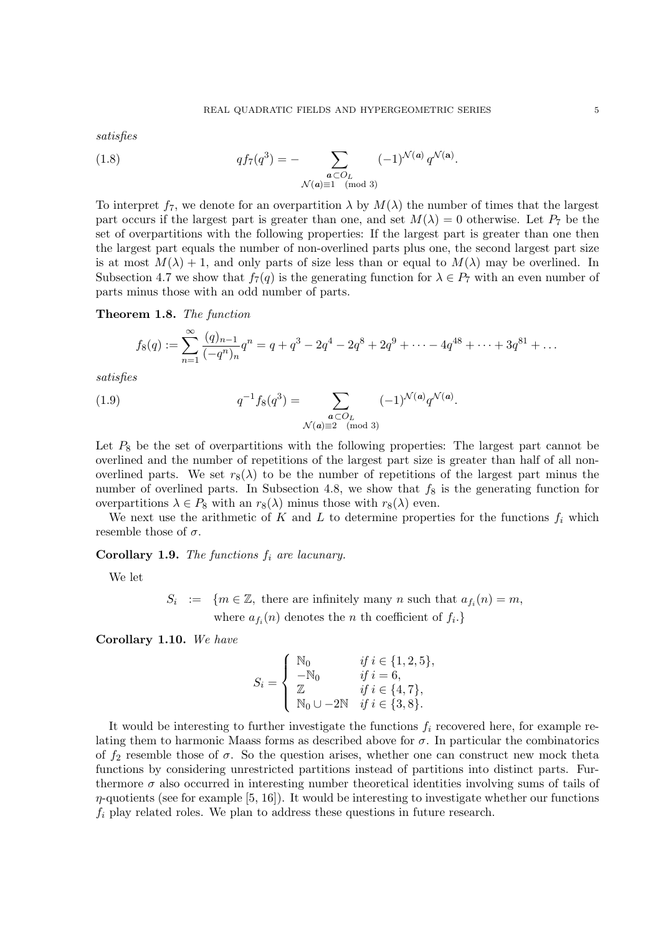satisfies

(1.8) 
$$
q f_7(q^3) = - \sum_{\substack{a \subset O_L \\ \mathcal{N}(a) \equiv 1 \pmod{3}}} (-1)^{\mathcal{N}(a)} q^{\mathcal{N}(a)}.
$$

To interpret  $f_7$ , we denote for an overpartition  $\lambda$  by  $M(\lambda)$  the number of times that the largest part occurs if the largest part is greater than one, and set  $M(\lambda) = 0$  otherwise. Let  $P_7$  be the set of overpartitions with the following properties: If the largest part is greater than one then the largest part equals the number of non-overlined parts plus one, the second largest part size is at most  $M(\lambda) + 1$ , and only parts of size less than or equal to  $M(\lambda)$  may be overlined. In Subsection 4.7 we show that  $f_7(q)$  is the generating function for  $\lambda \in P_7$  with an even number of parts minus those with an odd number of parts.

# Theorem 1.8. The function

$$
f_8(q) := \sum_{n=1}^{\infty} \frac{(q)_{n-1}}{(-q^n)_n} q^n = q + q^3 - 2q^4 - 2q^8 + 2q^9 + \dots - 4q^{48} + \dots + 3q^{81} + \dots
$$

satisfies

(1.9) 
$$
q^{-1} f_8(q^3) = \sum_{\substack{\mathbf{a} \subset O_L \\ \mathcal{N}(\mathbf{a}) \equiv 2 \pmod{3}}} (-1)^{\mathcal{N}(\mathbf{a})} q^{\mathcal{N}(\mathbf{a})}.
$$

Let  $P_8$  be the set of overpartitions with the following properties: The largest part cannot be overlined and the number of repetitions of the largest part size is greater than half of all nonoverlined parts. We set  $r_8(\lambda)$  to be the number of repetitions of the largest part minus the number of overlined parts. In Subsection 4.8, we show that  $f_8$  is the generating function for overpartitions  $\lambda \in P_8$  with an  $r_8(\lambda)$  minus those with  $r_8(\lambda)$  even.

We next use the arithmetic of K and L to determine properties for the functions  $f_i$  which resemble those of  $\sigma$ .

Corollary 1.9. The functions  $f_i$  are lacunary.

We let

 $S_i := \{m \in \mathbb{Z}, \text{ there are infinitely many } n \text{ such that } a_{f_i}(n) = m, \}$ where  $a_{f_i}(n)$  denotes the n th coefficient of  $f_i$ .}

Corollary 1.10. We have

$$
S_i = \begin{cases} \begin{array}{ll} \mathbb{N}_0 & \text{if } i \in \{1, 2, 5\}, \\ -\mathbb{N}_0 & \text{if } i = 6, \\ \mathbb{Z} & \text{if } i \in \{4, 7\}, \\ \mathbb{N}_0 \cup -2\mathbb{N} & \text{if } i \in \{3, 8\}. \end{array} \end{cases}
$$

It would be interesting to further investigate the functions  $f_i$  recovered here, for example relating them to harmonic Maass forms as described above for  $\sigma$ . In particular the combinatorics of  $f_2$  resemble those of  $\sigma$ . So the question arises, whether one can construct new mock theta functions by considering unrestricted partitions instead of partitions into distinct parts. Furthermore  $\sigma$  also occurred in interesting number theoretical identities involving sums of tails of  $\eta$ -quotients (see for example [5, 16]). It would be interesting to investigate whether our functions  $f_i$  play related roles. We plan to address these questions in future research.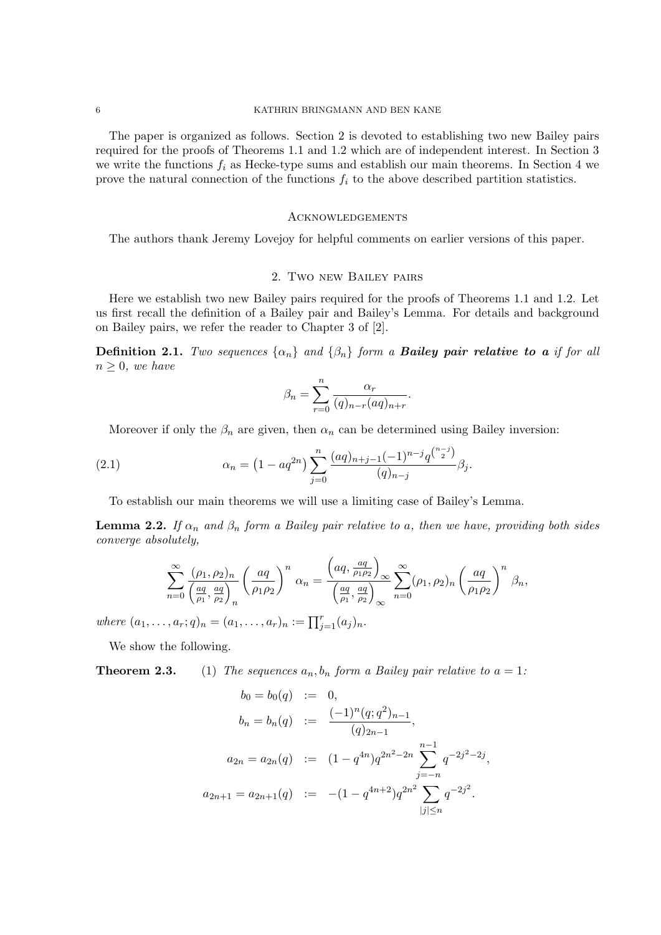# 6 KATHRIN BRINGMANN AND BEN KANE

The paper is organized as follows. Section 2 is devoted to establishing two new Bailey pairs required for the proofs of Theorems 1.1 and 1.2 which are of independent interest. In Section 3 we write the functions  $f_i$  as Hecke-type sums and establish our main theorems. In Section 4 we prove the natural connection of the functions  $f_i$  to the above described partition statistics.

#### **ACKNOWLEDGEMENTS**

The authors thank Jeremy Lovejoy for helpful comments on earlier versions of this paper.

# 2. Two new Bailey pairs

Here we establish two new Bailey pairs required for the proofs of Theorems 1.1 and 1.2. Let us first recall the definition of a Bailey pair and Bailey's Lemma. For details and background on Bailey pairs, we refer the reader to Chapter 3 of [2].

**Definition 2.1.** Two sequences  $\{\alpha_n\}$  and  $\{\beta_n\}$  form a **Bailey pair relative to a** if for all  $n \geq 0$ , we have

$$
\beta_n = \sum_{r=0}^n \frac{\alpha_r}{(q)_{n-r}(aq)_{n+r}}.
$$

Moreover if only the  $\beta_n$  are given, then  $\alpha_n$  can be determined using Bailey inversion:

(2.1) 
$$
\alpha_n = \left(1 - aq^{2n}\right) \sum_{j=0}^n \frac{(aq)_{n+j-1}(-1)^{n-j}q^{\binom{n-j}{2}}}{(q)_{n-j}} \beta_j.
$$

To establish our main theorems we will use a limiting case of Bailey's Lemma.

**Lemma 2.2.** If  $\alpha_n$  and  $\beta_n$  form a Bailey pair relative to a, then we have, providing both sides converge absolutely,

$$
\sum_{n=0}^{\infty} \frac{(\rho_1, \rho_2)_n}{\left(\frac{aq}{\rho_1}, \frac{aq}{\rho_2}\right)_n} \left(\frac{aq}{\rho_1 \rho_2}\right)^n \alpha_n = \frac{\left(aq, \frac{aq}{\rho_1 \rho_2}\right)_{\infty}}{\left(\frac{aq}{\rho_1}, \frac{aq}{\rho_2}\right)_{\infty}} \sum_{n=0}^{\infty} (\rho_1, \rho_2)_n \left(\frac{aq}{\rho_1 \rho_2}\right)^n \beta_n,
$$

where  $(a_1, ..., a_r; q)_n = (a_1, ..., a_r)_n := \prod_{j=1}^r (a_j)_n$ .

We show the following.

**Theorem 2.3.** (1) The sequences  $a_n, b_n$  form a Bailey pair relative to  $a = 1$ :

$$
b_0 = b_0(q) := 0,
$$
  
\n
$$
b_n = b_n(q) := \frac{(-1)^n (q;q^2)_{n-1}}{(q)_{2n-1}},
$$
  
\n
$$
a_{2n} = a_{2n}(q) := (1 - q^{4n})q^{2n^2 - 2n} \sum_{j=-n}^{n-1} q^{-2j^2 - 2j},
$$
  
\n
$$
a_{2n+1} = a_{2n+1}(q) := -(1 - q^{4n+2})q^{2n^2} \sum_{|j| \le n} q^{-2j^2}.
$$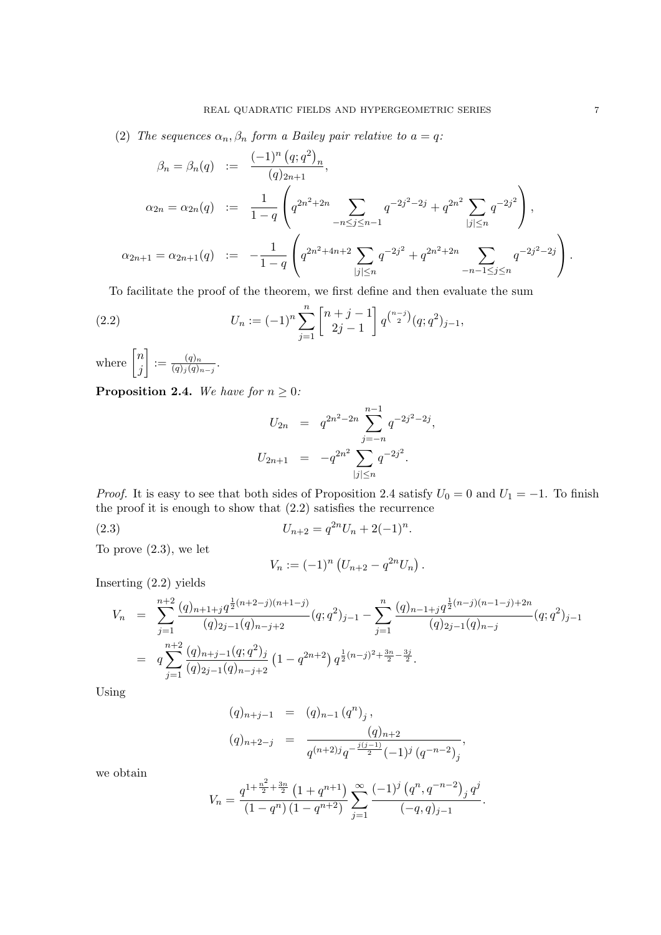(2) The sequences  $\alpha_n, \beta_n$  form a Bailey pair relative to  $a = q$ :

$$
\beta_n = \beta_n(q) := \frac{(-1)^n (q;q^2)_n}{(q)_{2n+1}},
$$
  
\n
$$
\alpha_{2n} = \alpha_{2n}(q) := \frac{1}{1-q} \left( q^{2n^2+2n} \sum_{-n \le j \le n-1} q^{-2j^2-2j} + q^{2n^2} \sum_{|j| \le n} q^{-2j^2} \right),
$$
  
\n
$$
\alpha_{2n+1} = \alpha_{2n+1}(q) := -\frac{1}{1-q} \left( q^{2n^2+4n+2} \sum_{|j| \le n} q^{-2j^2} + q^{2n^2+2n} \sum_{-n-1 \le j \le n} q^{-2j^2-2j} \right).
$$

To facilitate the proof of the theorem, we first define and then evaluate the sum

(2.2) 
$$
U_n := (-1)^n \sum_{j=1}^n \begin{bmatrix} n+j-1 \ 2j-1 \end{bmatrix} q^{\binom{n-j}{2}} (q;q^2)_{j-1},
$$

where  $\begin{bmatrix} n \\ i \end{bmatrix}$ j  $\Big] := \frac{(q)_n}{(q)_n (q)}$  $\frac{(q)_n}{(q)_j (q)_{n-j}}.$ 

**Proposition 2.4.** We have for  $n \geq 0$ :

$$
U_{2n} = q^{2n^2 - 2n} \sum_{j=-n}^{n-1} q^{-2j^2 - 2j},
$$
  

$$
U_{2n+1} = -q^{2n^2} \sum_{|j| \le n} q^{-2j^2}.
$$

*Proof.* It is easy to see that both sides of Proposition 2.4 satisfy  $U_0 = 0$  and  $U_1 = -1$ . To finish the proof it is enough to show that (2.2) satisfies the recurrence

(2.3) 
$$
U_{n+2} = q^{2n} U_n + 2(-1)^n.
$$

To prove (2.3), we let

$$
V_n := (-1)^n \left( U_{n+2} - q^{2n} U_n \right).
$$

Inserting (2.2) yields

$$
V_n = \sum_{j=1}^{n+2} \frac{(q)_{n+1+j} q^{\frac{1}{2}(n+2-j)(n+1-j)}}{(q)_{2j-1}(q)_{n-j+2}} (q;q^2)_{j-1} - \sum_{j=1}^n \frac{(q)_{n-1+j} q^{\frac{1}{2}(n-j)(n-1-j)+2n}}{(q)_{2j-1}(q)_{n-j}} (q;q^2)_{j-1}
$$
  
= 
$$
q \sum_{j=1}^{n+2} \frac{(q)_{n+j-1}(q;q^2)_j}{(q)_{2j-1}(q)_{n-j+2}} (1-q^{2n+2}) q^{\frac{1}{2}(n-j)^2 + \frac{3n}{2} - \frac{3j}{2}}.
$$

Using

$$
(q)_{n+j-1} = (q)_{n-1} (q^n)_j,
$$
  
\n
$$
(q)_{n+2-j} = \frac{(q)_{n+2}}{q^{(n+2)j}q^{-\frac{j(j-1)}{2}}(-1)^j (q^{-n-2})_j},
$$

we obtain

$$
V_n = \frac{q^{1+\frac{n^2}{2}+\frac{3n}{2}}(1+q^{n+1})}{(1-q^n)(1-q^{n+2})} \sum_{j=1}^{\infty} \frac{(-1)^j (q^n, q^{-n-2})_j q^j}{(-q, q)_{j-1}}.
$$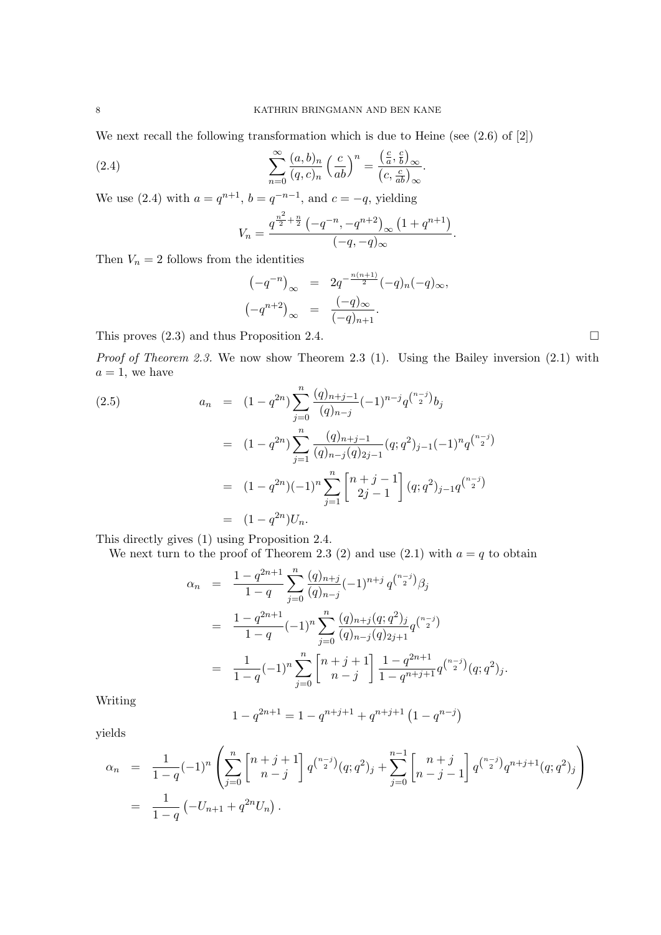We next recall the following transformation which is due to Heine (see (2.6) of [2])

(2.4) 
$$
\sum_{n=0}^{\infty} \frac{(a,b)_n}{(q,c)_n} \left(\frac{c}{ab}\right)^n = \frac{\left(\frac{c}{a},\frac{c}{b}\right)_{\infty}}{\left(c,\frac{c}{ab}\right)_{\infty}}.
$$

We use (2.4) with  $a = q^{n+1}$ ,  $b = q^{-n-1}$ , and  $c = -q$ , yielding

$$
V_n = \frac{q^{\frac{n^2}{2} + \frac{n}{2}} \left(-q^{-n}, -q^{n+2}\right)_{\infty} \left(1 + q^{n+1}\right)}{(-q, -q)_{\infty}}.
$$

Then  $V_n = 2$  follows from the identities

$$
(-q^{-n})_{\infty} = 2q^{-\frac{n(n+1)}{2}}(-q)_n(-q)_{\infty},
$$
  

$$
(-q^{n+2})_{\infty} = \frac{(-q)_{\infty}}{(-q)_{n+1}}.
$$

This proves  $(2.3)$  and thus Proposition 2.4.

Proof of Theorem 2.3. We now show Theorem 2.3 (1). Using the Bailey inversion (2.1) with  $a = 1$ , we have

(2.5)  
\n
$$
a_n = (1 - q^{2n}) \sum_{j=0}^n \frac{(q)_{n+j-1}}{(q)_{n-j}} (-1)^{n-j} q^{\binom{n-j}{2}} b_j
$$
\n
$$
= (1 - q^{2n}) \sum_{j=1}^n \frac{(q)_{n+j-1}}{(q)_{n-j}(q)_{2j-1}} (q; q^2)_{j-1} (-1)^n q^{\binom{n-j}{2}}
$$
\n
$$
= (1 - q^{2n}) (-1)^n \sum_{j=1}^n \begin{bmatrix} n+j-1\\2j-1 \end{bmatrix} (q; q^2)_{j-1} q^{\binom{n-j}{2}}
$$
\n
$$
= (1 - q^{2n}) U_n.
$$

This directly gives (1) using Proposition 2.4.

We next turn to the proof of Theorem 2.3 (2) and use (2.1) with  $a = q$  to obtain

$$
\alpha_n = \frac{1 - q^{2n+1}}{1 - q} \sum_{j=0}^n \frac{(q)_{n+j}}{(q)_{n-j}} (-1)^{n+j} q^{\binom{n-j}{2}} \beta_j
$$
  
\n
$$
= \frac{1 - q^{2n+1}}{1 - q} (-1)^n \sum_{j=0}^n \frac{(q)_{n+j} (q; q^2)_j}{(q)_{n-j} (q)_{2j+1}} q^{\binom{n-j}{2}}
$$
  
\n
$$
= \frac{1}{1 - q} (-1)^n \sum_{j=0}^n \begin{bmatrix} n+j+1\\ n-j \end{bmatrix} \frac{1 - q^{2n+1}}{1 - q^{n+j+1}} q^{\binom{n-j}{2}} (q; q^2)_j.
$$

Writing

$$
1 - q^{2n+1} = 1 - q^{n+j+1} + q^{n+j+1} (1 - q^{n-j})
$$

yields

$$
\alpha_n = \frac{1}{1-q} (-1)^n \left( \sum_{j=0}^n \begin{bmatrix} n+j+1 \ n-j \end{bmatrix} q^{n-j} (q;q^2)_j + \sum_{j=0}^{n-1} \begin{bmatrix} n+j \ n-j-1 \end{bmatrix} q^{n-j} q^{n+j+1} (q;q^2)_j \right)
$$
  
= 
$$
\frac{1}{1-q} (-U_{n+1} + q^{2n} U_n).
$$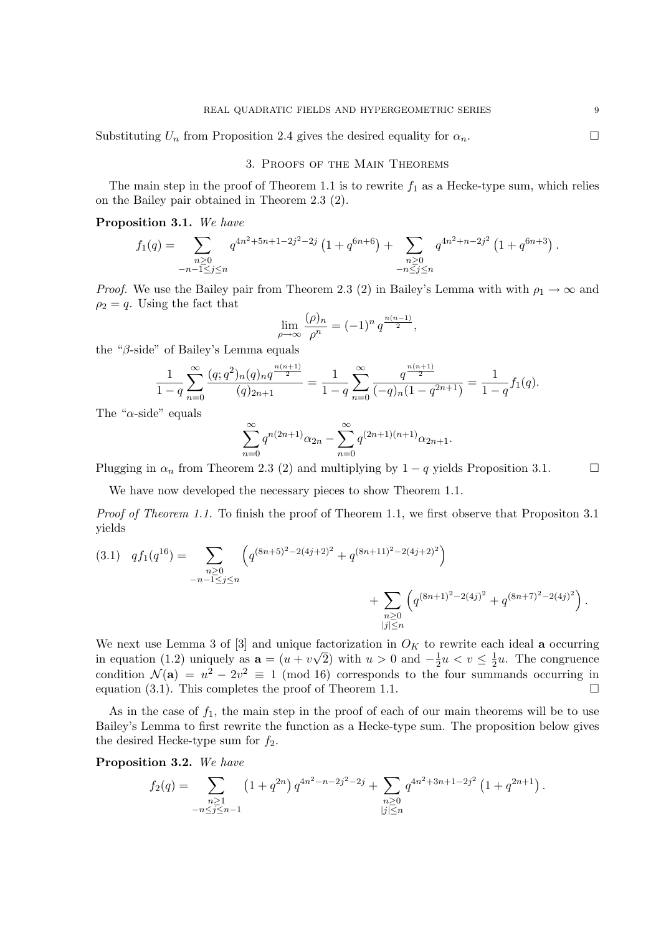Substituting  $U_n$  from Proposition 2.4 gives the desired equality for  $\alpha_n$ .

# 3. Proofs of the Main Theorems

The main step in the proof of Theorem 1.1 is to rewrite  $f_1$  as a Hecke-type sum, which relies on the Bailey pair obtained in Theorem 2.3 (2).

# Proposition 3.1. We have

$$
f_1(q) = \sum_{\substack{n \geq 0 \\ -n-1 \leq j \leq n}} q^{4n^2 + 5n + 1 - 2j^2 - 2j} \left(1 + q^{6n + 6}\right) + \sum_{\substack{n \geq 0 \\ -n \leq j \leq n}} q^{4n^2 + n - 2j^2} \left(1 + q^{6n + 3}\right).
$$

*Proof.* We use the Bailey pair from Theorem 2.3 (2) in Bailey's Lemma with with  $\rho_1 \to \infty$  and  $\rho_2 = q$ . Using the fact that

$$
\lim_{\rho \to \infty} \frac{(\rho)_n}{\rho^n} = (-1)^n q^{\frac{n(n-1)}{2}},
$$

the "β-side" of Bailey's Lemma equals

$$
\frac{1}{1-q} \sum_{n=0}^{\infty} \frac{(q;q^2)_n (q)_n q^{\frac{n(n+1)}{2}}}{(q)_{2n+1}} = \frac{1}{1-q} \sum_{n=0}^{\infty} \frac{q^{\frac{n(n+1)}{2}}}{(-q)_n (1-q^{2n+1})} = \frac{1}{1-q} f_1(q).
$$

The " $\alpha$ -side" equals

$$
\sum_{n=0}^{\infty} q^{n(2n+1)} \alpha_{2n} - \sum_{n=0}^{\infty} q^{(2n+1)(n+1)} \alpha_{2n+1}.
$$

Plugging in  $\alpha_n$  from Theorem 2.3 (2) and multiplying by 1 – q yields Proposition 3.1.  $\Box$ 

We have now developed the necessary pieces to show Theorem 1.1.

*Proof of Theorem 1.1.* To finish the proof of Theorem 1.1, we first observe that Propositon 3.1 yields

$$
(3.1) \quad qf_1(q^{16}) = \sum_{\substack{n \geq 0 \\ -n-1 \leq j \leq n}} \left( q^{(8n+5)^2 - 2(4j+2)^2} + q^{(8n+11)^2 - 2(4j+2)^2} \right) + \sum_{\substack{n \geq 0 \\ |j| \leq n}} \left( q^{(8n+1)^2 - 2(4j)^2} + q^{(8n+7)^2 - 2(4j)^2} \right).
$$

We next use Lemma 3 of [3] and unique factorization in  $O_K$  to rewrite each ideal **a** occurring in equation (1.2) uniquely as  $\mathbf{a} = (u + v\sqrt{2})$  with  $u > 0$  and  $-\frac{1}{2}$  $\frac{1}{2}u < v \leq \frac{1}{2}$  $\frac{1}{2}u$ . The congruence condition  $\mathcal{N}(\mathbf{a}) = u^2 - 2v^2 \equiv 1 \pmod{16}$  corresponds to the four summands occurring in equation (3.1). This completes the proof of Theorem 1.1.

As in the case of  $f_1$ , the main step in the proof of each of our main theorems will be to use Bailey's Lemma to first rewrite the function as a Hecke-type sum. The proposition below gives the desired Hecke-type sum for  $f_2$ .

Proposition 3.2. We have

$$
f_2(q) = \sum_{\substack{n \geq 1 \\ -n \leq j \leq n-1}} \left(1 + q^{2n}\right) q^{4n^2 - n - 2j^2 - 2j} + \sum_{\substack{n \geq 0 \\ |j| \leq n}} q^{4n^2 + 3n + 1 - 2j^2} \left(1 + q^{2n + 1}\right).
$$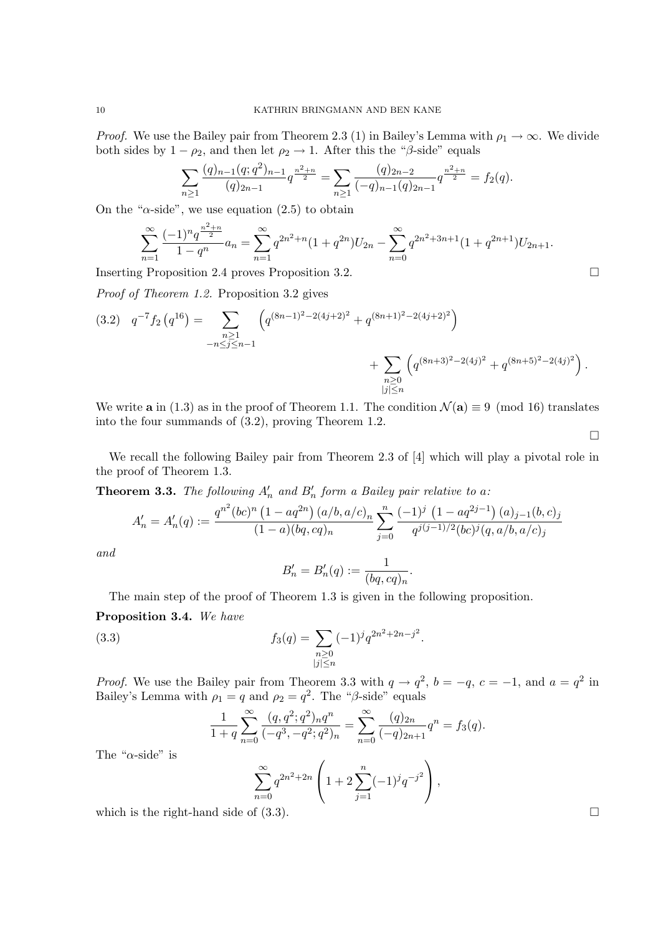*Proof.* We use the Bailey pair from Theorem 2.3 (1) in Bailey's Lemma with  $\rho_1 \to \infty$ . We divide both sides by  $1 - \rho_2$ , and then let  $\rho_2 \rightarrow 1$ . After this the " $\beta$ -side" equals

$$
\sum_{n\geq 1} \frac{(q)_{n-1}(q;q^2)_{n-1}}{(q)_{2n-1}} q^{\frac{n^2+n}{2}} = \sum_{n\geq 1} \frac{(q)_{2n-2}}{(-q)_{n-1}(q)_{2n-1}} q^{\frac{n^2+n}{2}} = f_2(q).
$$

On the " $\alpha$ -side", we use equation (2.5) to obtain

$$
\sum_{n=1}^{\infty} \frac{(-1)^n q^{\frac{n^2+n}{2}}}{1-q^n} a_n = \sum_{n=1}^{\infty} q^{2n^2+n} (1+q^{2n}) U_{2n} - \sum_{n=0}^{\infty} q^{2n^2+3n+1} (1+q^{2n+1}) U_{2n+1}.
$$

Inserting Proposition 2.4 proves Proposition 3.2.

Proof of Theorem 1.2. Proposition 3.2 gives

$$
(3.2) \quad q^{-7} f_2 \left( q^{16} \right) = \sum_{\substack{n \geq 1 \\ -n \leq j \leq n-1}} \left( q^{(8n-1)^2 - 2(4j+2)^2} + q^{(8n+1)^2 - 2(4j+2)^2} \right) \\ + \sum_{\substack{n \geq 0 \\ |j| \leq n}} \left( q^{(8n+3)^2 - 2(4j)^2} + q^{(8n+5)^2 - 2(4j)^2} \right).
$$

We write **a** in (1.3) as in the proof of Theorem 1.1. The condition  $\mathcal{N}(\mathbf{a}) \equiv 9 \pmod{16}$  translates into the four summands of (3.2), proving Theorem 1.2.

We recall the following Bailey pair from Theorem 2.3 of [4] which will play a pivotal role in the proof of Theorem 1.3.

**Theorem 3.3.** The following  $A'_n$  and  $B'_n$  form a Bailey pair relative to a:

$$
A'_n = A'_n(q) := \frac{q^{n^2}(bc)^n (1 - aq^{2n}) (a/b, a/c)_n}{(1 - a)(bq, cq)_n} \sum_{j=0}^n \frac{(-1)^j (1 - aq^{2j-1}) (a)_{j-1}(b, c)_j}{q^{j(j-1)/2}(bc)^j (q, a/b, a/c)_j}
$$

and

$$
B'_n = B'_n(q) := \frac{1}{(bq, cq)_n}
$$

.

The main step of the proof of Theorem 1.3 is given in the following proposition.

# Proposition 3.4. We have

(3.3) 
$$
f_3(q) = \sum_{\substack{n \geq 0 \\ |j| \leq n}} (-1)^j q^{2n^2 + 2n - j^2}.
$$

*Proof.* We use the Bailey pair from Theorem 3.3 with  $q \to q^2$ ,  $b = -q$ ,  $c = -1$ , and  $a = q^2$  in Bailey's Lemma with  $\rho_1 = q$  and  $\rho_2 = q^2$ . The "β-side" equals

$$
\frac{1}{1+q}\sum_{n=0}^{\infty}\frac{(q,q^2;q^2)_nq^n}{(-q^3,-q^2;q^2)_n}=\sum_{n=0}^{\infty}\frac{(q)_{2n}}{(-q)_{2n+1}}q^n=f_3(q).
$$

The " $\alpha$ -side" is

$$
\sum_{n=0}^{\infty} q^{2n^2+2n} \left( 1 + 2 \sum_{j=1}^n (-1)^j q^{-j^2} \right),
$$

which is the right-hand side of (3.3).

 $\Box$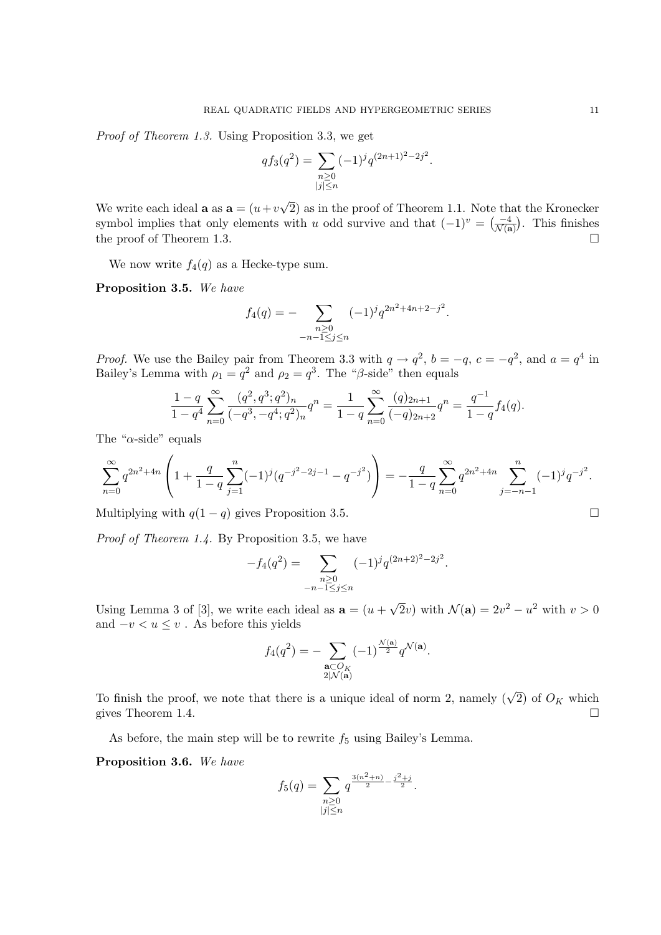Proof of Theorem 1.3. Using Proposition 3.3, we get

$$
q f_3(q^2) = \sum_{\substack{n \geq 0 \\ |j| \leq n}} (-1)^j q^{(2n+1)^2 - 2j^2}.
$$

We write each ideal **a** as  $\mathbf{a} = (u+v)$ √ 2) as in the proof of Theorem 1.1. Note that the Kronecker symbol implies that only elements with u odd survive and that  $(-1)^v = \left(\frac{-4}{\mathcal{N}(\mathbf{a})}\right)$ . This finishes the proof of Theorem 1.3.

We now write  $f_4(q)$  as a Hecke-type sum.

Proposition 3.5. We have

$$
f_4(q) = - \sum_{\substack{n \geq 0 \\ -n-1 \leq j \leq n}} (-1)^j q^{2n^2 + 4n + 2 - j^2}.
$$

*Proof.* We use the Bailey pair from Theorem 3.3 with  $q \rightarrow q^2$ ,  $b = -q$ ,  $c = -q^2$ , and  $a = q^4$  in Bailey's Lemma with  $\rho_1 = q^2$  and  $\rho_2 = q^3$ . The " $\beta$ -side" then equals

$$
\frac{1-q}{1-q^4} \sum_{n=0}^{\infty} \frac{(q^2, q^3; q^2)_n}{(-q^3, -q^4; q^2)_n} q^n = \frac{1}{1-q} \sum_{n=0}^{\infty} \frac{(q)_{2n+1}}{(-q)_{2n+2}} q^n = \frac{q^{-1}}{1-q} f_4(q).
$$

The " $\alpha$ -side" equals

$$
\sum_{n=0}^{\infty} q^{2n^2+4n} \left( 1 + \frac{q}{1-q} \sum_{j=1}^n (-1)^j (q^{-j^2-2j-1} - q^{-j^2}) \right) = -\frac{q}{1-q} \sum_{n=0}^{\infty} q^{2n^2+4n} \sum_{j=-n-1}^n (-1)^j q^{-j^2}.
$$

Multiplying with  $q(1 - q)$  gives Proposition 3.5.

Proof of Theorem 1.4. By Proposition 3.5, we have

$$
-f_4(q^2) = \sum_{\substack{n \ge 0 \\ -n-1 \le j \le n}} (-1)^j q^{(2n+2)^2 - 2j^2}.
$$

Using Lemma 3 of [3], we write each ideal as  $\mathbf{a} = (u +$  $\overline{2}v$ ) with  $\mathcal{N}(\mathbf{a}) = 2v^2 - u^2$  with  $v > 0$ and  $-v < u \leq v$ . As before this yields

$$
f_4(q^2) = -\sum_{\substack{\mathbf{a} \subset O_K\\2|\mathcal{N}(\mathbf{a})}} (-1)^{\frac{\mathcal{N}(\mathbf{a})}{2}} q^{\mathcal{N}(\mathbf{a})}.
$$

To finish the proof, we note that there is a unique ideal of norm 2, namely  $(\sqrt{2})$  of  $O_K$  which gives Theorem 1.4.

As before, the main step will be to rewrite  $f_5$  using Bailey's Lemma.

Proposition 3.6. We have

$$
f_5(q) = \sum_{\substack{n \geq 0 \\ |j| \leq n}} q^{\frac{3(n^2+n)}{2} - \frac{j^2+j}{2}}.
$$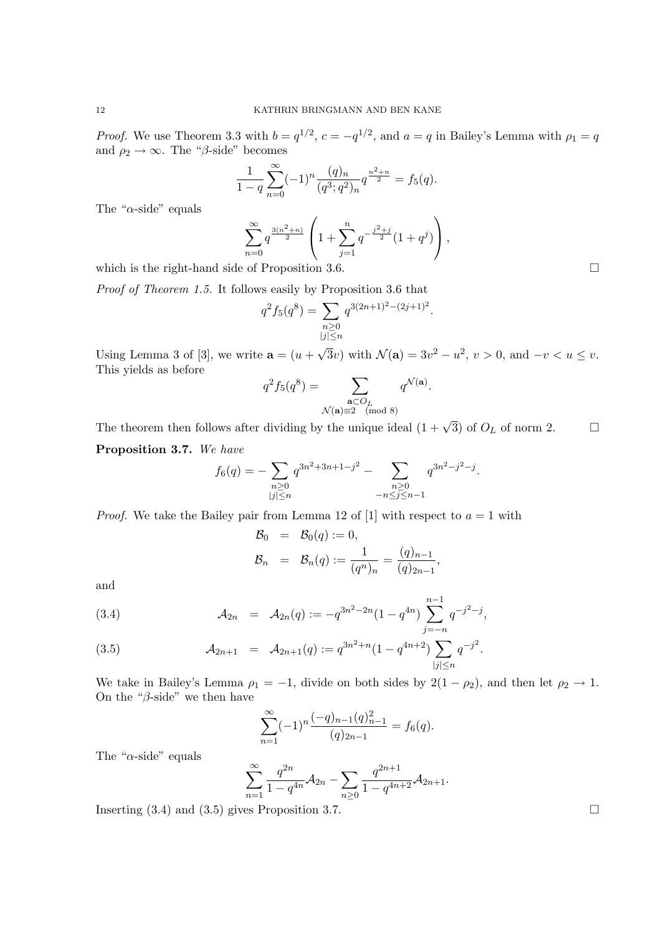*Proof.* We use Theorem 3.3 with  $b = q^{1/2}$ ,  $c = -q^{1/2}$ , and  $a = q$  in Bailey's Lemma with  $\rho_1 = q$ and  $\rho_2 \rightarrow \infty$ . The "β-side" becomes

$$
\frac{1}{1-q} \sum_{n=0}^{\infty} (-1)^n \frac{(q)_n}{(q^3;q^2)_n} q^{\frac{n^2+n}{2}} = f_5(q).
$$

The " $\alpha$ -side" equals

$$
\sum_{n=0}^{\infty} q^{\frac{3(n^2+n)}{2}} \left( 1 + \sum_{j=1}^{n} q^{-\frac{j^2+j}{2}} (1+q^j) \right),
$$

which is the right-hand side of Proposition 3.6.

Proof of Theorem 1.5. It follows easily by Proposition 3.6 that

$$
q^{2} f_{5}(q^{8}) = \sum_{\substack{n \geq 0 \\ |j| \leq n}} q^{3(2n+1)^{2} - (2j+1)^{2}}
$$

.

,

Using Lemma 3 of [3], we write  $\mathbf{a} = (u +$  $\overline{3}v$ ) with  $\mathcal{N}(\mathbf{a}) = 3v^2 - u^2$ ,  $v > 0$ , and  $-v < u \leq v$ . This yields as before

$$
q^2 f_5(q^8) = \sum_{\substack{\mathbf{a} \subset O_L \\ \mathcal{N}(\mathbf{a}) \equiv 2 \pmod{8}}} q^{\mathcal{N}(\mathbf{a})}.
$$

The theorem then follows after dividing by the unique ideal  $(1 + \sqrt{3})$  of  $O_L$  of norm 2.

Proposition 3.7. We have

$$
f_6(q) = -\sum_{\substack{n \geq 0 \\ |j| \leq n}} q^{3n^2 + 3n + 1 - j^2} - \sum_{\substack{n \geq 0 \\ -n \leq j \leq n - 1}} q^{3n^2 - j^2 - j}.
$$

*Proof.* We take the Bailey pair from Lemma 12 of [1] with respect to  $a = 1$  with

$$
\mathcal{B}_0 = \mathcal{B}_0(q) := 0,
$$
  

$$
\mathcal{B}_n = \mathcal{B}_n(q) := \frac{1}{(q^n)_n} = \frac{(q)_{n-1}}{(q)_{2n-1}}
$$

and

(3.4) 
$$
\mathcal{A}_{2n} = \mathcal{A}_{2n}(q) := -q^{3n^2 - 2n} (1 - q^{4n}) \sum_{j=-n}^{n-1} q^{-j^2 - j},
$$

(3.5) 
$$
\mathcal{A}_{2n+1} = \mathcal{A}_{2n+1}(q) := q^{3n^2+n} (1 - q^{4n+2}) \sum_{|j| \le n} q^{-j^2}.
$$

We take in Bailey's Lemma  $\rho_1 = -1$ , divide on both sides by  $2(1 - \rho_2)$ , and then let  $\rho_2 \to 1$ . On the " $\beta$ -side" we then have

$$
\sum_{n=1}^{\infty} (-1)^n \frac{(-q)_{n-1} (q)_{n-1}^2}{(q)_{2n-1}} = f_6(q).
$$

The " $\alpha$ -side" equals

$$
\sum_{n=1}^{\infty} \frac{q^{2n}}{1-q^{4n}} \mathcal{A}_{2n} - \sum_{n\geq 0} \frac{q^{2n+1}}{1-q^{4n+2}} \mathcal{A}_{2n+1}.
$$

Inserting  $(3.4)$  and  $(3.5)$  gives Proposition 3.7.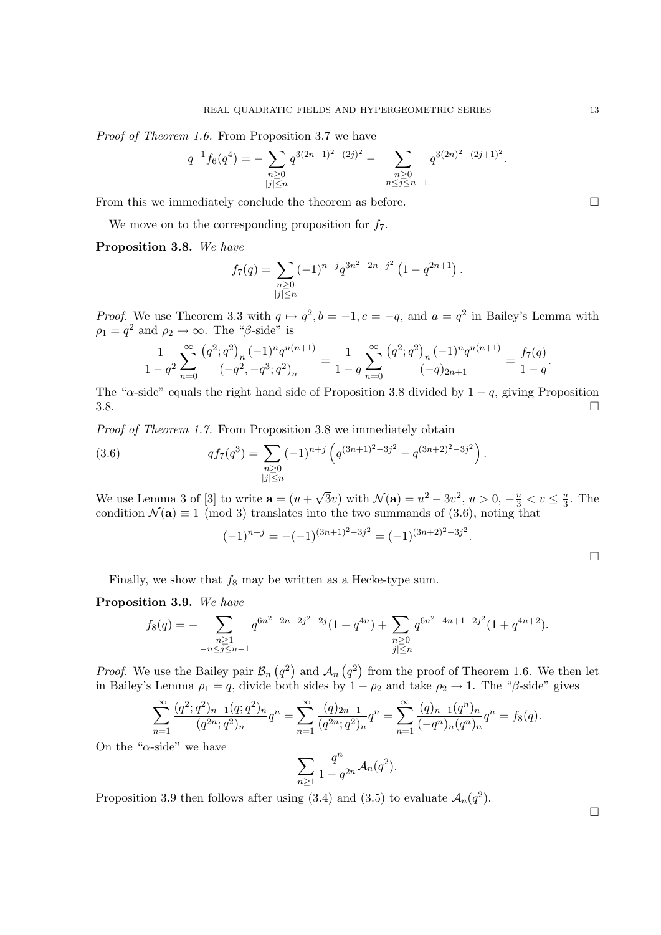Proof of Theorem 1.6. From Proposition 3.7 we have

$$
q^{-1} f_6(q^4) = - \sum_{\substack{n \geq 0 \\ |j| \leq n}} q^{3(2n+1)^2 - (2j)^2} - \sum_{\substack{n \geq 0 \\ -n \leq j \leq n-1}} q^{3(2n)^2 - (2j+1)^2}.
$$

From this we immediately conclude the theorem as before.

We move on to the corresponding proposition for  $f_7$ .

# Proposition 3.8. We have

$$
f_7(q) = \sum_{\substack{n \geq 0 \\ |j| \leq n}} (-1)^{n+j} q^{3n^2 + 2n - j^2} \left(1 - q^{2n+1}\right).
$$

*Proof.* We use Theorem 3.3 with  $q \mapsto q^2$ ,  $b = -1$ ,  $c = -q$ , and  $a = q^2$  in Bailey's Lemma with  $\rho_1 = q^2$  and  $\rho_2 \to \infty$ . The " $\beta$ -side" is

$$
\frac{1}{1-q^2} \sum_{n=0}^{\infty} \frac{\left(q^2;q^2\right)_n (-1)^n q^{n(n+1)}}{\left(-q^2,-q^3;q^2\right)_n} = \frac{1}{1-q} \sum_{n=0}^{\infty} \frac{\left(q^2;q^2\right)_n (-1)^n q^{n(n+1)}}{(-q)_{2n+1}} = \frac{f_7(q)}{1-q}.
$$

The " $\alpha$ -side" equals the right hand side of Proposition 3.8 divided by  $1 - q$ , giving Proposition  $3.8.$ 

Proof of Theorem 1.7. From Proposition 3.8 we immediately obtain

(3.6) 
$$
q f_7(q^3) = \sum_{\substack{n \geq 0 \\ |j| \leq n}} (-1)^{n+j} \left( q^{(3n+1)^2 - 3j^2} - q^{(3n+2)^2 - 3j^2} \right).
$$

We use Lemma 3 of [3] to write  $\mathbf{a} = (u +$ √  $\overline{3}v$ ) with  $\mathcal{N}(\mathbf{a}) = u^2 - 3v^2$ ,  $u > 0$ ,  $-\frac{u}{3} < v \le \frac{u}{3}$  $\frac{u}{3}$ . The condition  $\mathcal{N}(\mathbf{a}) \equiv 1 \pmod{3}$  translates into the two summands of (3.6), noting that

$$
(-1)^{n+j} = -(-1)^{(3n+1)^2 - 3j^2} = (-1)^{(3n+2)^2 - 3j^2}.
$$

Finally, we show that  $f_8$  may be written as a Hecke-type sum.

# Proposition 3.9. We have

$$
f_8(q) = - \sum_{\substack{n \ge 1 \\ -n \le j \le n-1}} q^{6n^2 - 2n - 2j^2 - 2j} (1 + q^{4n}) + \sum_{\substack{n \ge 0 \\ |j| \le n}} q^{6n^2 + 4n + 1 - 2j^2} (1 + q^{4n + 2}).
$$

*Proof.* We use the Bailey pair  $\mathcal{B}_n(q^2)$  and  $\mathcal{A}_n(q^2)$  from the proof of Theorem 1.6. We then let in Bailey's Lemma  $\rho_1 = q$ , divide both sides by  $1 - \rho_2$  and take  $\rho_2 \to 1$ . The " $\beta$ -side" gives

$$
\sum_{n=1}^{\infty} \frac{(q^2;q^2)_{n-1}(q;q^2)_n}{(q^{2n};q^2)_n} q^n = \sum_{n=1}^{\infty} \frac{(q)_{2n-1}}{(q^{2n};q^2)_n} q^n = \sum_{n=1}^{\infty} \frac{(q)_{n-1}(q^n)_n}{(-q^n)_n (q^n)_n} q^n = f_8(q).
$$

On the " $\alpha$ -side" we have

$$
\sum_{n\geq 1} \frac{q^n}{1-q^{2n}} \mathcal{A}_n(q^2).
$$

Proposition 3.9 then follows after using (3.4) and (3.5) to evaluate  $A_n(q^2)$ .

 $\Box$ 

 $\Box$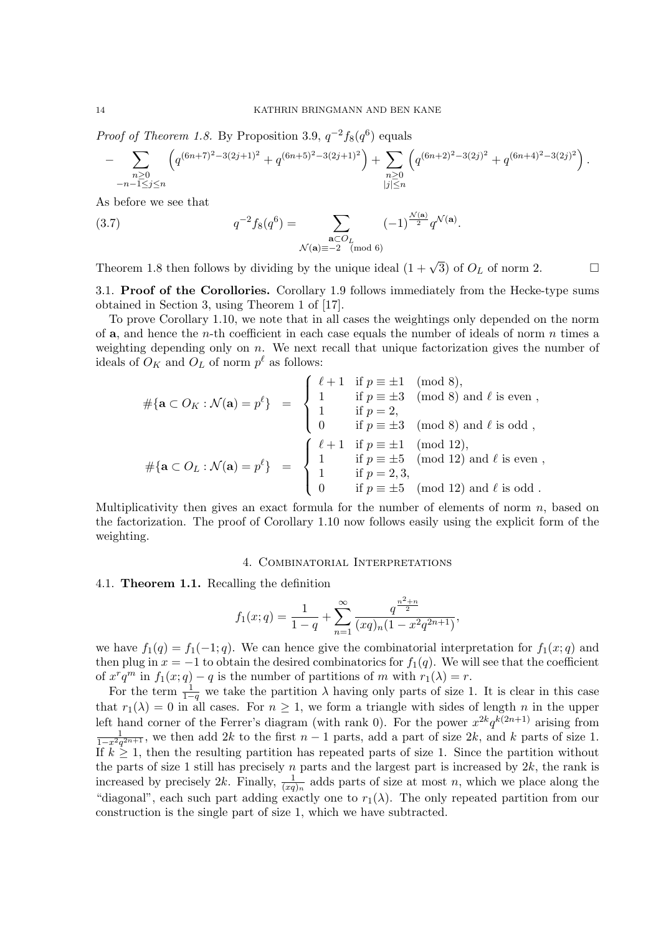*Proof of Theorem 1.8.* By Proposition 3.9,  $q^{-2}f_8(q^6)$  equals

$$
-\sum_{\substack{n\geq 0\\-n-1\leq j\leq n}}\left(q^{(6n+7)^2-3(2j+1)^2}+q^{(6n+5)^2-3(2j+1)^2}\right)+\sum_{\substack{n\geq 0\\|j|\leq n}}\left(q^{(6n+2)^2-3(2j)^2}+q^{(6n+4)^2-3(2j)^2}\right).
$$

As before we see that

(3.7) 
$$
q^{-2} f_8(q^6) = \sum_{\substack{\mathbf{a} \subset O_L \\ \mathcal{N}(\mathbf{a}) \equiv -2 \pmod{6}}} (-1)^{\frac{\mathcal{N}(\mathbf{a})}{2}} q^{\mathcal{N}(\mathbf{a})}.
$$

Theorem 1.8 then follows by dividing by the unique ideal  $(1 + \sqrt{3})$  of  $O_L$  of norm 2.

3.1. Proof of the Corollories. Corollary 1.9 follows immediately from the Hecke-type sums obtained in Section 3, using Theorem 1 of [17].

To prove Corollary 1.10, we note that in all cases the weightings only depended on the norm of  $a$ , and hence the *n*-th coefficient in each case equals the number of ideals of norm *n* times a weighting depending only on  $n$ . We next recall that unique factorization gives the number of ideals of  $O_K$  and  $O_L$  of norm  $p^{\ell}$  as follows:

$$
\#\{\mathbf{a} \subset O_K : \mathcal{N}(\mathbf{a}) = p^{\ell}\} = \begin{cases} \ell + 1 & \text{if } p \equiv \pm 1 \pmod{8}, \\ 1 & \text{if } p = \pm 3 \pmod{8} \text{ and } \ell \text{ is even }, \\ 1 & \text{if } p = 2, \\ 0 & \text{if } p \equiv \pm 3 \pmod{8} \text{ and } \ell \text{ is odd }, \\ 0 & \text{if } p \equiv \pm 1 \pmod{12}, \\ 1 & \text{if } p \equiv \pm 5 \pmod{12} \text{ and } \ell \text{ is even }, \\ 1 & \text{if } p = \pm 5 \pmod{12} \text{ and } \ell \text{ is even }, \\ 0 & \text{if } p \equiv \pm 5 \pmod{12} \text{ and } \ell \text{ is odd } .\end{cases}
$$

Multiplicativity then gives an exact formula for the number of elements of norm  $n$ , based on the factorization. The proof of Corollary 1.10 now follows easily using the explicit form of the weighting.

#### 4. Combinatorial Interpretations

4.1. Theorem 1.1. Recalling the definition

$$
f_1(x;q) = \frac{1}{1-q} + \sum_{n=1}^{\infty} \frac{q^{\frac{n^2+n}{2}}}{(xq)_n(1-x^2q^{2n+1})},
$$

we have  $f_1(q) = f_1(-1; q)$ . We can hence give the combinatorial interpretation for  $f_1(x; q)$  and then plug in  $x = -1$  to obtain the desired combinatorics for  $f_1(q)$ . We will see that the coefficient of  $x^r q^m$  in  $f_1(x; q) - q$  is the number of partitions of m with  $r_1(\lambda) = r$ .

For the term  $\frac{1}{1-q}$  we take the partition  $\lambda$  having only parts of size 1. It is clear in this case that  $r_1(\lambda) = 0$  in all cases. For  $n \geq 1$ , we form a triangle with sides of length n in the upper left hand corner of the Ferrer's diagram (with rank 0). For the power  $x^{2k}q^{k(2n+1)}$  arising from  $\frac{1}{1-x^2q^{2n+1}}$ , we then add 2k to the first  $n-1$  parts, add a part of size 2k, and k parts of size 1. If  $k \geq 1$ , then the resulting partition has repeated parts of size 1. Since the partition without the parts of size 1 still has precisely n parts and the largest part is increased by  $2k$ , the rank is increased by precisely 2k. Finally,  $\frac{1}{(xq)_n}$  adds parts of size at most n, which we place along the "diagonal", each such part adding exactly one to  $r_1(\lambda)$ . The only repeated partition from our construction is the single part of size 1, which we have subtracted.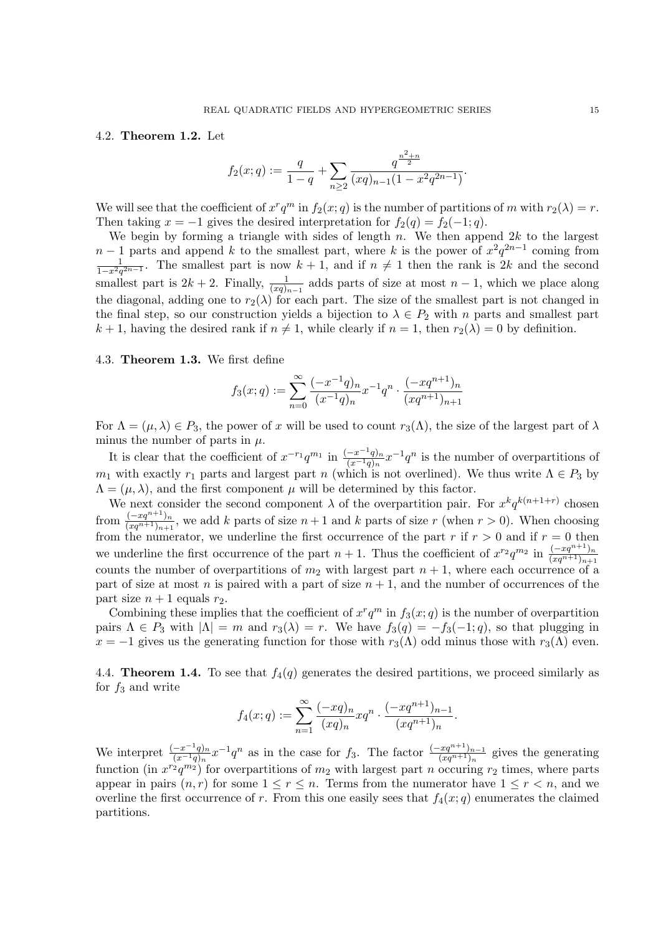# 4.2. Theorem 1.2. Let

$$
f_2(x;q) := \frac{q}{1-q} + \sum_{n\geq 2} \frac{q^{\frac{n^2+n}{2}}}{(xq)_{n-1}(1-x^2q^{2n-1})}.
$$

We will see that the coefficient of  $x^r q^m$  in  $f_2(x; q)$  is the number of partitions of m with  $r_2(\lambda) = r$ . Then taking  $x = -1$  gives the desired interpretation for  $f_2(q) = f_2(-1; q)$ .

We begin by forming a triangle with sides of length  $n$ . We then append  $2k$  to the largest  $n-1$  parts and append k to the smallest part, where k is the power of  $x^2q^{2n-1}$  coming from  $\frac{1}{1-x^2q^{2n-1}}$ . The smallest part is now  $k+1$ , and if  $n \neq 1$  then the rank is 2k and the second smallest part is  $2k + 2$ . Finally,  $\frac{1}{(xq)_{n-1}}$  adds parts of size at most  $n-1$ , which we place along the diagonal, adding one to  $r_2(\lambda)$  for each part. The size of the smallest part is not changed in the final step, so our construction yields a bijection to  $\lambda \in P_2$  with n parts and smallest part  $k + 1$ , having the desired rank if  $n \neq 1$ , while clearly if  $n = 1$ , then  $r_2(\lambda) = 0$  by definition.

# 4.3. Theorem 1.3. We first define

$$
f_3(x;q) := \sum_{n=0}^{\infty} \frac{(-x^{-1}q)_n}{(x^{-1}q)_n} x^{-1} q^n \cdot \frac{(-xq^{n+1})_n}{(xq^{n+1})_{n+1}}
$$

For  $\Lambda = (\mu, \lambda) \in P_3$ , the power of x will be used to count  $r_3(\Lambda)$ , the size of the largest part of  $\lambda$ minus the number of parts in  $\mu$ .

It is clear that the coefficient of  $x^{-r_1}q^{m_1}$  in  $\frac{(-x^{-1}q)_n}{(x^{-1}q)_n}x^{-1}q^n$  is the number of overpartitions of  $m_1$  with exactly  $r_1$  parts and largest part n (which is not overlined). We thus write  $\Lambda \in P_3$  by  $\Lambda = (\mu, \lambda)$ , and the first component  $\mu$  will be determined by this factor.

We next consider the second component  $\lambda$  of the overpartition pair. For  $x^k q^{k(n+1+r)}$  chosen from  $\frac{(-xq^{n+1})_{n}}{(xq^{n+1})_{n+1}}$ , we add k parts of size  $n+1$  and k parts of size r (when  $r > 0$ ). When choosing from the numerator, we underline the first occurrence of the part r if  $r > 0$  and if  $r = 0$  then we underline the first occurrence of the part  $n+1$ . Thus the coefficient of  $x^{r_2}q^{m_2}$  in  $\frac{(-xq^{n+1})_n}{(xq^{n+1})_{n+1}}$ counts the number of overpartitions of  $m_2$  with largest part  $n + 1$ , where each occurrence of a part of size at most n is paired with a part of size  $n + 1$ , and the number of occurrences of the part size  $n + 1$  equals  $r_2$ .

Combining these implies that the coefficient of  $x^r q^m$  in  $f_3(x; q)$  is the number of overpartition pairs  $\Lambda \in P_3$  with  $|\Lambda| = m$  and  $r_3(\lambda) = r$ . We have  $f_3(q) = -f_3(-1; q)$ , so that plugging in  $x = -1$  gives us the generating function for those with  $r_3(\Lambda)$  odd minus those with  $r_3(\Lambda)$  even.

4.4. **Theorem 1.4.** To see that  $f_4(q)$  generates the desired partitions, we proceed similarly as for  $f_3$  and write

$$
f_4(x;q) := \sum_{n=1}^{\infty} \frac{(-xq)_n}{(xq)_n} xq^n \cdot \frac{(-xq^{n+1})_{n-1}}{(xq^{n+1})_n}.
$$

We interpret  $\frac{(-x^{-1}q)_n}{(x^{-1}q)_n}x^{-1}q^n$  as in the case for  $f_3$ . The factor  $\frac{(-xq^{n+1})_{n-1}}{(xq^{n+1})_n}$  gives the generating function (in  $x^{r_2}q^{m_2}$ ) for overpartitions of  $m_2$  with largest part n occuring  $r_2$  times, where parts appear in pairs  $(n, r)$  for some  $1 \leq r \leq n$ . Terms from the numerator have  $1 \leq r \leq n$ , and we overline the first occurrence of r. From this one easily sees that  $f_4(x; q)$  enumerates the claimed partitions.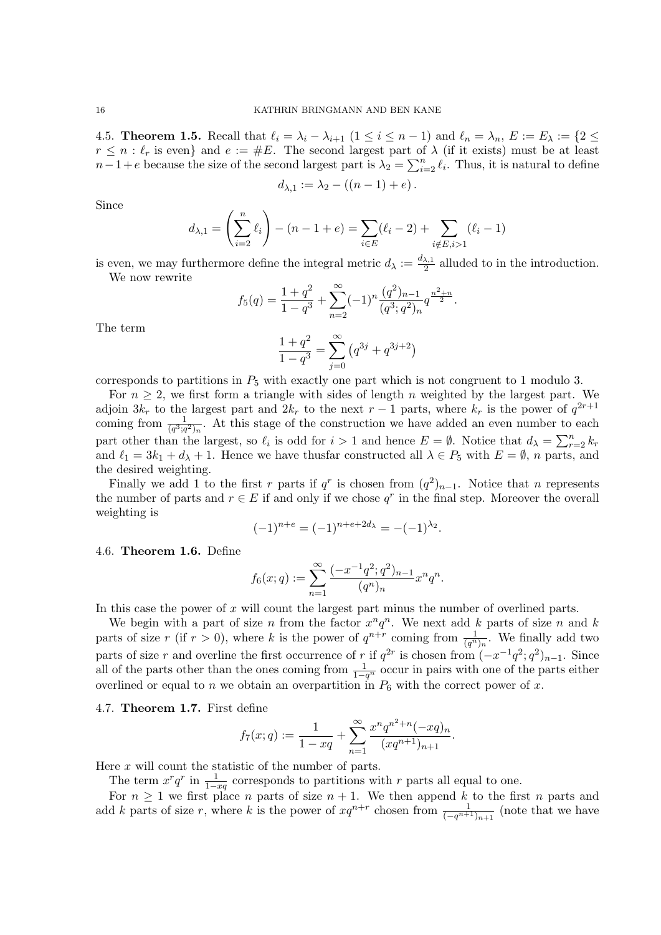4.5. **Theorem 1.5.** Recall that  $\ell_i = \lambda_i - \lambda_{i+1}$   $(1 \leq i \leq n-1)$  and  $\ell_n = \lambda_n$ ,  $E := E_\lambda := \{2 \leq n-1\}$  $r \leq n : \ell_r$  is even} and  $e := \#E$ . The second largest part of  $\lambda$  (if it exists) must be at least  $n-1+e$  because the size of the second largest part is  $\lambda_2 = \sum_{i=2}^n \ell_i$ . Thus, it is natural to define

$$
d_{\lambda,1} := \lambda_2 - ((n-1) + e).
$$

Since

$$
d_{\lambda,1} = \left(\sum_{i=2}^{n} \ell_i\right) - (n-1+e) = \sum_{i \in E} (\ell_i - 2) + \sum_{i \notin E, i > 1} (\ell_i - 1)
$$

is even, we may furthermore define the integral metric  $d_{\lambda} := \frac{d_{\lambda,1}}{2}$  $\frac{\lambda}{2}$  alluded to in the introduction. We now rewrite

$$
f_5(q) = \frac{1+q^2}{1-q^3} + \sum_{n=2}^{\infty} (-1)^n \frac{(q^2)_{n-1}}{(q^3;q^2)_n} q^{\frac{n^2+n}{2}}.
$$

$$
\frac{1+q^2}{1-q^3} = \sum_{n=0}^{\infty} (q^{3j} + q^{3j+2})
$$

The term

corresponds to partitions in 
$$
P_5
$$
 with exactly one part which is not congruent to 1 modulo 3.

For  $n \geq 2$ , we first form a triangle with sides of length n weighted by the largest part. We adjoin  $3k_r$  to the largest part and  $2k_r$  to the next  $r-1$  parts, where  $k_r$  is the power of  $q^{2r+1}$ coming from  $\frac{1}{(q^3;q^2)_n}$ . At this stage of the construction we have added an even number to each part other than the largest, so  $\ell_i$  is odd for  $i > 1$  and hence  $E = \emptyset$ . Notice that  $d_{\lambda} = \sum_{r=2}^{n} k_r$ and  $\ell_1 = 3k_1 + d_\lambda + 1$ . Hence we have thusfar constructed all  $\lambda \in P_5$  with  $E = \emptyset$ , n parts, and the desired weighting.

Finally we add 1 to the first r parts if  $q^r$  is chosen from  $(q^2)_{n-1}$ . Notice that n represents the number of parts and  $r \in E$  if and only if we chose  $q^r$  in the final step. Moreover the overall weighting is

$$
(-1)^{n+e} = (-1)^{n+e+2d_{\lambda}} = -(-1)^{\lambda_2}.
$$

4.6. Theorem 1.6. Define

$$
f_6(x;q) := \sum_{n=1}^{\infty} \frac{(-x^{-1}q^2;q^2)_{n-1}}{(q^n)_n} x^n q^n.
$$

In this case the power of  $x$  will count the largest part minus the number of overlined parts.

We begin with a part of size n from the factor  $x^n q^n$ . We next add k parts of size n and k parts of size r (if  $r > 0$ ), where k is the power of  $q^{n+r}$  coming from  $\frac{1}{(q^n)_n}$ . We finally add two parts of size r and overline the first occurrence of r if  $q^{2r}$  is chosen from  $(-x^{-1}q^2;q^2)_{n-1}$ . Since all of the parts other than the ones coming from  $\frac{1}{1-q^n}$  occur in pairs with one of the parts either overlined or equal to n we obtain an overpartition in  $P_6$  with the correct power of x.

4.7. Theorem 1.7. First define

$$
f_7(x;q) := \frac{1}{1-xq} + \sum_{n=1}^{\infty} \frac{x^n q^{n^2+n}(-xq)_n}{(xq^{n+1})_{n+1}}.
$$

Here  $x$  will count the statistic of the number of parts.

The term  $x^r q^r$  in  $\frac{1}{1-xq}$  corresponds to partitions with r parts all equal to one.

For  $n \geq 1$  we first place n parts of size  $n + 1$ . We then append k to the first n parts and add k parts of size r, where k is the power of  $xq^{n+r}$  chosen from  $\frac{1}{(-q^{n+1})_{n+1}}$  (note that we have